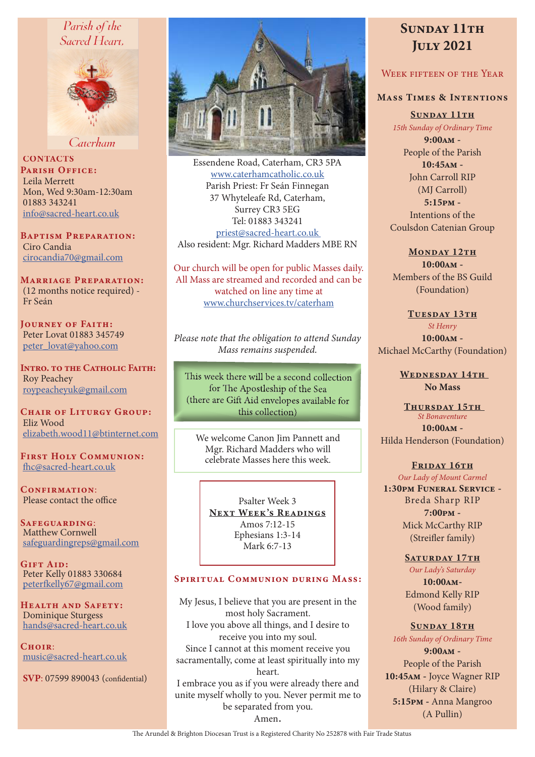## Parish of the Sacred Heart,



Caterham

**CONTACTS** PARISH OFFICE: Leila Merrett Mon, Wed 9:30am-12:30am 01883 343241 info@sacred-heart.co.uk

Baptism Preparation: Ciro Candia cirocandia70@gmail.com

Marriage Preparation: (12 months notice required) - Fr Seán

Journey of Faith: Peter Lovat 01883 345749 peter\_lovat@yahoo.com

Intro. to the Catholic Faith: Roy Peachey roypeacheyuk@gmail.com

CHAIR OF LITURGY GROUP: Eliz Wood elizabeth.wood11@btinternet.com

First Holy Communion: fhc@sacred-heart.co.uk

CONFIRMATION: Please contact the office

Safeguarding: Matthew Cornwell safeguardingreps@gmail.com

GIFT AID: Peter Kelly 01883 330684 peterfkelly67@gmail.com

HEALTH AND SAFETY: Dominique Sturgess hands@sacred-heart.co.uk

 $C$ HOIR: music@sacred-heart.co.uk

SVP: 07599 890043 (confidential)



Essendene Road, Caterham, CR3 5PA www.caterhamcatholic.co.uk Parish Priest: Fr Seán Finnegan 37 Whyteleafe Rd, Caterham, Surrey CR3 5EG Tel: 01883 343241 priest@sacred-heart.co.uk Also resident: Mgr. Richard Madders MBE RN

Our church will be open for public Masses daily. All Mass are streamed and recorded and can be watched on line any time at www.churchservices.tv/caterham

*Please note that the obligation to attend Sunday Mass remains suspended.*

This week there will be a second collection for The Apostleship of the Sea (there are Gift Aid envelopes available for this collection)

We welcome Canon Jim Pannett and Mgr. Richard Madders who will celebrate Masses here this week.

Psalter Week 3 NEXT WEEK'S READINGS Amos 7:12-15 Ephesians 1:3-14 Mark 6:7-13

## SPIRITUAL COMMUNION DURING MASS:

My Jesus, I believe that you are present in the most holy Sacrament. I love you above all things, and I desire to receive you into my soul. Since I cannot at this moment receive you sacramentally, come at least spiritually into my heart. I embrace you as if you were already there and unite myself wholly to you. Never permit me to be separated from you. Amen.

# SUNDAY 11TH July 2021

## WEEK FIFTEEN OF THE YEAR

### Mass Times & Intentions

SUNDAY 11TH *15th Sunday of Ordinary Time*

9:00am - People of the Parish  $10:45$  $\Delta M -$ John Carroll RIP (MJ Carroll) 5:15pm - Intentions of the Coulsdon Catenian Group

#### MONDAY 12TH

 $10:00AM -$ Members of the BS Guild (Foundation)

#### TUESDAY 13TH

*St Henry* 10:00am - Michael McCarthy (Foundation)

> WEDNESDAY 14TH No Mass

THURSDAY 15TH *St Bonaventure* 10:00am - Hilda Henderson (Foundation)

#### FRIDAY 16TH

*Our Lady of Mount Carmel* 1:30pm Funeral Service - Breda Sharp RIP 7:00pm - Mick McCarthy RIP (Streifler family)

#### SATURDAY 17TH

*Our Lady's Saturday* 10:00am-Edmond Kelly RIP (Wood family)

#### SUNDAY 18TH

*16th Sunday of Ordinary Time*

9:00am - People of the Parish 10:45am - Joyce Wagner RIP (Hilary & Claire) 5:15pm - Anna Mangroo (A Pullin)